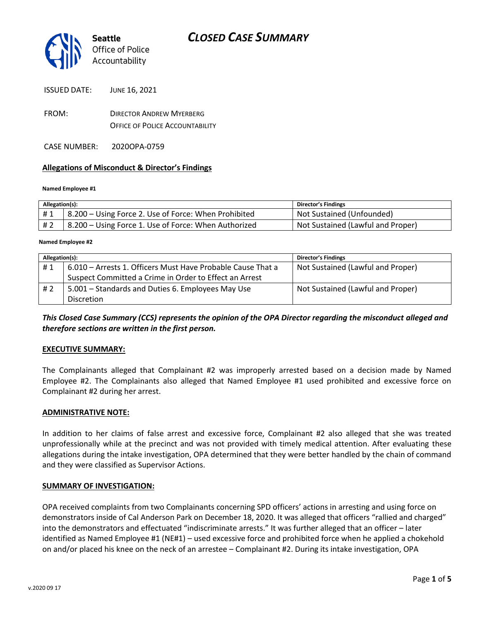

ISSUED DATE: JUNE 16, 2021

FROM: DIRECTOR ANDREW MYERBERG OFFICE OF POLICE ACCOUNTABILITY

CASE NUMBER: 2020OPA-0759

#### **Allegations of Misconduct & Director's Findings**

#### **Named Employee #1**

| Allegation(s): |                                                      | <b>Director's Findings</b>        |
|----------------|------------------------------------------------------|-----------------------------------|
| #1             | 8.200 – Using Force 2. Use of Force: When Prohibited | Not Sustained (Unfounded)         |
| # 2            | 8.200 – Using Force 1. Use of Force: When Authorized | Not Sustained (Lawful and Proper) |

#### ؚ<br>ا **Named Employee #2**

| Allegation(s): |                                                             | <b>Director's Findings</b>        |
|----------------|-------------------------------------------------------------|-----------------------------------|
| #1             | 6.010 - Arrests 1. Officers Must Have Probable Cause That a | Not Sustained (Lawful and Proper) |
|                | Suspect Committed a Crime in Order to Effect an Arrest      |                                   |
| # 2            | 5.001 – Standards and Duties 6. Employees May Use           | Not Sustained (Lawful and Proper) |
|                | <b>Discretion</b>                                           |                                   |

*This Closed Case Summary (CCS) represents the opinion of the OPA Director regarding the misconduct alleged and therefore sections are written in the first person.* 

#### **EXECUTIVE SUMMARY:**

The Complainants alleged that Complainant #2 was improperly arrested based on a decision made by Named Employee #2. The Complainants also alleged that Named Employee #1 used prohibited and excessive force on Complainant #2 during her arrest.

#### **ADMINISTRATIVE NOTE:**

In addition to her claims of false arrest and excessive force, Complainant #2 also alleged that she was treated unprofessionally while at the precinct and was not provided with timely medical attention. After evaluating these allegations during the intake investigation, OPA determined that they were better handled by the chain of command and they were classified as Supervisor Actions.

#### **SUMMARY OF INVESTIGATION:**

OPA received complaints from two Complainants concerning SPD officers' actions in arresting and using force on demonstrators inside of Cal Anderson Park on December 18, 2020. It was alleged that officers "rallied and charged" into the demonstrators and effectuated "indiscriminate arrests." It was further alleged that an officer – later identified as Named Employee #1 (NE#1) – used excessive force and prohibited force when he applied a chokehold on and/or placed his knee on the neck of an arrestee – Complainant #2. During its intake investigation, OPA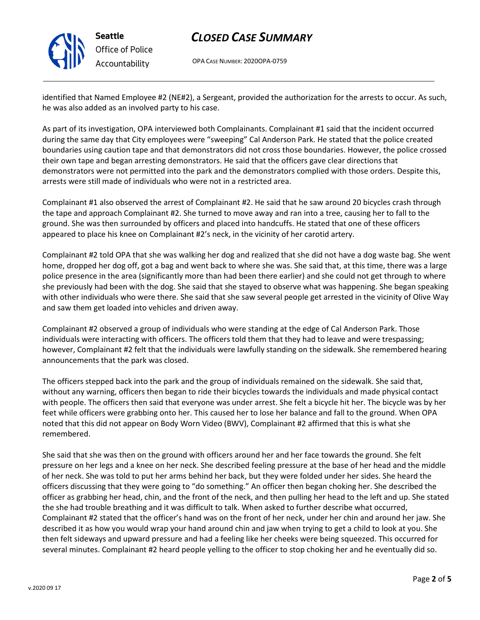

## *CLOSED CASE SUMMARY*

OPA CASE NUMBER: 2020OPA-0759

identified that Named Employee #2 (NE#2), a Sergeant, provided the authorization for the arrests to occur. As such, he was also added as an involved party to his case.

As part of its investigation, OPA interviewed both Complainants. Complainant #1 said that the incident occurred during the same day that City employees were "sweeping" Cal Anderson Park. He stated that the police created boundaries using caution tape and that demonstrators did not cross those boundaries. However, the police crossed their own tape and began arresting demonstrators. He said that the officers gave clear directions that demonstrators were not permitted into the park and the demonstrators complied with those orders. Despite this, arrests were still made of individuals who were not in a restricted area.

Complainant #1 also observed the arrest of Complainant #2. He said that he saw around 20 bicycles crash through the tape and approach Complainant #2. She turned to move away and ran into a tree, causing her to fall to the ground. She was then surrounded by officers and placed into handcuffs. He stated that one of these officers appeared to place his knee on Complainant #2's neck, in the vicinity of her carotid artery.

Complainant #2 told OPA that she was walking her dog and realized that she did not have a dog waste bag. She went home, dropped her dog off, got a bag and went back to where she was. She said that, at this time, there was a large police presence in the area (significantly more than had been there earlier) and she could not get through to where she previously had been with the dog. She said that she stayed to observe what was happening. She began speaking with other individuals who were there. She said that she saw several people get arrested in the vicinity of Olive Way and saw them get loaded into vehicles and driven away.

Complainant #2 observed a group of individuals who were standing at the edge of Cal Anderson Park. Those individuals were interacting with officers. The officers told them that they had to leave and were trespassing; however, Complainant #2 felt that the individuals were lawfully standing on the sidewalk. She remembered hearing announcements that the park was closed.

The officers stepped back into the park and the group of individuals remained on the sidewalk. She said that, without any warning, officers then began to ride their bicycles towards the individuals and made physical contact with people. The officers then said that everyone was under arrest. She felt a bicycle hit her. The bicycle was by her feet while officers were grabbing onto her. This caused her to lose her balance and fall to the ground. When OPA noted that this did not appear on Body Worn Video (BWV), Complainant #2 affirmed that this is what she remembered.

She said that she was then on the ground with officers around her and her face towards the ground. She felt pressure on her legs and a knee on her neck. She described feeling pressure at the base of her head and the middle of her neck. She was told to put her arms behind her back, but they were folded under her sides. She heard the officers discussing that they were going to "do something." An officer then began choking her. She described the officer as grabbing her head, chin, and the front of the neck, and then pulling her head to the left and up. She stated the she had trouble breathing and it was difficult to talk. When asked to further describe what occurred, Complainant #2 stated that the officer's hand was on the front of her neck, under her chin and around her jaw. She described it as how you would wrap your hand around chin and jaw when trying to get a child to look at you. She then felt sideways and upward pressure and had a feeling like her cheeks were being squeezed. This occurred for several minutes. Complainant #2 heard people yelling to the officer to stop choking her and he eventually did so.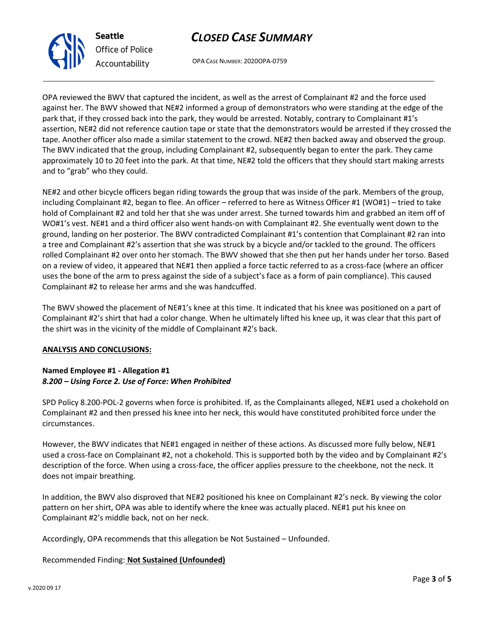# *CLOSED CASE SUMMARY*

OPA CASE NUMBER: 2020OPA-0759

OPA reviewed the BWV that captured the incident, as well as the arrest of Complainant #2 and the force used against her. The BWV showed that NE#2 informed a group of demonstrators who were standing at the edge of the park that, if they crossed back into the park, they would be arrested. Notably, contrary to Complainant #1's assertion, NE#2 did not reference caution tape or state that the demonstrators would be arrested if they crossed the tape. Another officer also made a similar statement to the crowd. NE#2 then backed away and observed the group. The BWV indicated that the group, including Complainant #2, subsequently began to enter the park. They came approximately 10 to 20 feet into the park. At that time, NE#2 told the officers that they should start making arrests and to "grab" who they could.

NE#2 and other bicycle officers began riding towards the group that was inside of the park. Members of the group, including Complainant #2, began to flee. An officer – referred to here as Witness Officer #1 (WO#1) – tried to take hold of Complainant #2 and told her that she was under arrest. She turned towards him and grabbed an item off of WO#1's vest. NE#1 and a third officer also went hands-on with Complainant #2. She eventually went down to the ground, landing on her posterior. The BWV contradicted Complainant #1's contention that Complainant #2 ran into a tree and Complainant #2's assertion that she was struck by a bicycle and/or tackled to the ground. The officers rolled Complainant #2 over onto her stomach. The BWV showed that she then put her hands under her torso. Based on a review of video, it appeared that NE#1 then applied a force tactic referred to as a cross-face (where an officer uses the bone of the arm to press against the side of a subject's face as a form of pain compliance). This caused Complainant #2 to release her arms and she was handcuffed.

The BWV showed the placement of NE#1's knee at this time. It indicated that his knee was positioned on a part of Complainant #2's shirt that had a color change. When he ultimately lifted his knee up, it was clear that this part of the shirt was in the vicinity of the middle of Complainant #2's back.

#### **ANALYSIS AND CONCLUSIONS:**

### **Named Employee #1 - Allegation #1** *8.200 – Using Force 2. Use of Force: When Prohibited*

SPD Policy 8.200-POL-2 governs when force is prohibited. If, as the Complainants alleged, NE#1 used a chokehold on Complainant #2 and then pressed his knee into her neck, this would have constituted prohibited force under the circumstances.

However, the BWV indicates that NE#1 engaged in neither of these actions. As discussed more fully below, NE#1 used a cross-face on Complainant #2, not a chokehold. This is supported both by the video and by Complainant #2's description of the force. When using a cross-face, the officer applies pressure to the cheekbone, not the neck. It does not impair breathing.

In addition, the BWV also disproved that NE#2 positioned his knee on Complainant #2's neck. By viewing the color pattern on her shirt, OPA was able to identify where the knee was actually placed. NE#1 put his knee on Complainant #2's middle back, not on her neck.

Accordingly, OPA recommends that this allegation be Not Sustained – Unfounded.

### Recommended Finding: **Not Sustained (Unfounded)**



**Seattle** *Office of Police Accountability*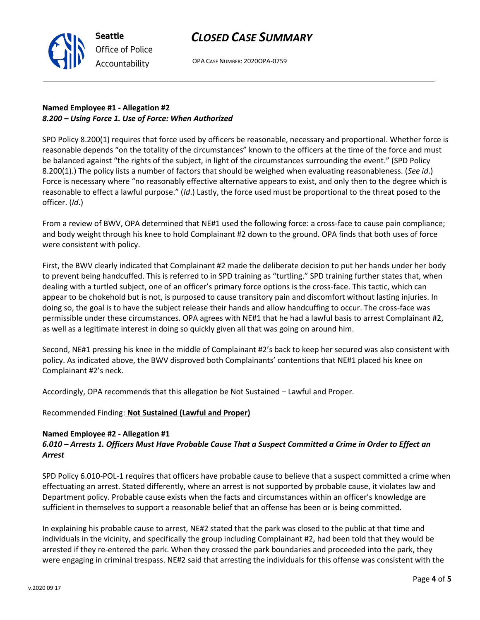## *CLOSED CASE SUMMARY*



OPA CASE NUMBER: 2020OPA-0759

## **Named Employee #1 - Allegation #2** *8.200 – Using Force 1. Use of Force: When Authorized*

SPD Policy 8.200(1) requires that force used by officers be reasonable, necessary and proportional. Whether force is reasonable depends "on the totality of the circumstances" known to the officers at the time of the force and must be balanced against "the rights of the subject, in light of the circumstances surrounding the event." (SPD Policy 8.200(1).) The policy lists a number of factors that should be weighed when evaluating reasonableness. (*See id*.) Force is necessary where "no reasonably effective alternative appears to exist, and only then to the degree which is reasonable to effect a lawful purpose." (*Id*.) Lastly, the force used must be proportional to the threat posed to the officer. (*Id*.)

From a review of BWV, OPA determined that NE#1 used the following force: a cross-face to cause pain compliance; and body weight through his knee to hold Complainant #2 down to the ground. OPA finds that both uses of force were consistent with policy.

First, the BWV clearly indicated that Complainant #2 made the deliberate decision to put her hands under her body to prevent being handcuffed. This is referred to in SPD training as "turtling." SPD training further states that, when dealing with a turtled subject, one of an officer's primary force options is the cross-face. This tactic, which can appear to be chokehold but is not, is purposed to cause transitory pain and discomfort without lasting injuries. In doing so, the goal is to have the subject release their hands and allow handcuffing to occur. The cross-face was permissible under these circumstances. OPA agrees with NE#1 that he had a lawful basis to arrest Complainant #2, as well as a legitimate interest in doing so quickly given all that was going on around him.

Second, NE#1 pressing his knee in the middle of Complainant #2's back to keep her secured was also consistent with policy. As indicated above, the BWV disproved both Complainants' contentions that NE#1 placed his knee on Complainant #2's neck.

Accordingly, OPA recommends that this allegation be Not Sustained – Lawful and Proper.

### Recommended Finding: **Not Sustained (Lawful and Proper)**

### **Named Employee #2 - Allegation #1**

## *6.010 – Arrests 1. Officers Must Have Probable Cause That a Suspect Committed a Crime in Order to Effect an Arrest*

SPD Policy 6.010-POL-1 requires that officers have probable cause to believe that a suspect committed a crime when effectuating an arrest. Stated differently, where an arrest is not supported by probable cause, it violates law and Department policy. Probable cause exists when the facts and circumstances within an officer's knowledge are sufficient in themselves to support a reasonable belief that an offense has been or is being committed.

In explaining his probable cause to arrest, NE#2 stated that the park was closed to the public at that time and individuals in the vicinity, and specifically the group including Complainant #2, had been told that they would be arrested if they re-entered the park. When they crossed the park boundaries and proceeded into the park, they were engaging in criminal trespass. NE#2 said that arresting the individuals for this offense was consistent with the